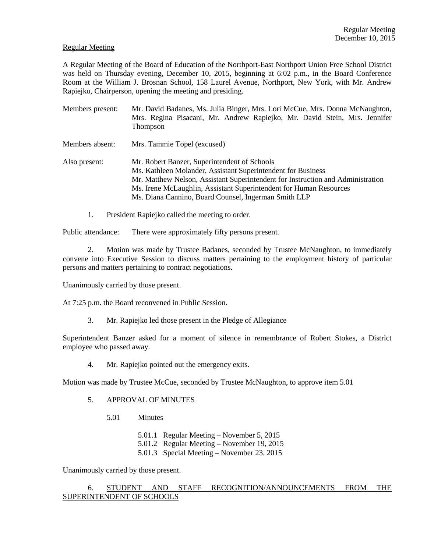#### Regular Meeting

A Regular Meeting of the Board of Education of the Northport-East Northport Union Free School District was held on Thursday evening, December 10, 2015, beginning at 6:02 p.m., in the Board Conference Room at the William J. Brosnan School, 158 Laurel Avenue, Northport, New York, with Mr. Andrew Rapiejko, Chairperson, opening the meeting and presiding.

| Members present: | Mr. David Badanes, Ms. Julia Binger, Mrs. Lori McCue, Mrs. Donna McNaughton,<br>Mrs. Regina Pisacani, Mr. Andrew Rapiejko, Mr. David Stein, Mrs. Jennifer<br>Thompson                                                                                                                                                         |
|------------------|-------------------------------------------------------------------------------------------------------------------------------------------------------------------------------------------------------------------------------------------------------------------------------------------------------------------------------|
| Members absent:  | Mrs. Tammie Topel (excused)                                                                                                                                                                                                                                                                                                   |
| Also present:    | Mr. Robert Banzer, Superintendent of Schools<br>Ms. Kathleen Molander, Assistant Superintendent for Business<br>Mr. Matthew Nelson, Assistant Superintendent for Instruction and Administration<br>Ms. Irene McLaughlin, Assistant Superintendent for Human Resources<br>Ms. Diana Cannino, Board Counsel, Ingerman Smith LLP |

1. President Rapiejko called the meeting to order.

Public attendance: There were approximately fifty persons present.

2. Motion was made by Trustee Badanes, seconded by Trustee McNaughton, to immediately convene into Executive Session to discuss matters pertaining to the employment history of particular persons and matters pertaining to contract negotiations.

Unanimously carried by those present.

At 7:25 p.m. the Board reconvened in Public Session.

3. Mr. Rapiejko led those present in the Pledge of Allegiance

Superintendent Banzer asked for a moment of silence in remembrance of Robert Stokes, a District employee who passed away.

4. Mr. Rapiejko pointed out the emergency exits.

Motion was made by Trustee McCue, seconded by Trustee McNaughton, to approve item 5.01

- 5. APPROVAL OF MINUTES
	- 5.01 Minutes
		- 5.01.1 Regular Meeting November 5, 2015
		- 5.01.2 Regular Meeting November 19, 2015
		- 5.01.3 Special Meeting November 23, 2015

Unanimously carried by those present.

# 6. STUDENT AND STAFF RECOGNITION/ANNOUNCEMENTS FROM THE SUPERINTENDENT OF SCHOOLS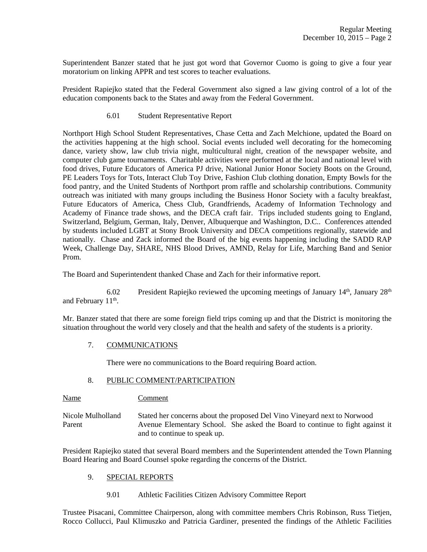Superintendent Banzer stated that he just got word that Governor Cuomo is going to give a four year moratorium on linking APPR and test scores to teacher evaluations.

President Rapiejko stated that the Federal Government also signed a law giving control of a lot of the education components back to the States and away from the Federal Government.

6.01 Student Representative Report

Northport High School Student Representatives, Chase Cetta and Zach Melchione, updated the Board on the activities happening at the high school. Social events included well decorating for the homecoming dance, variety show, law club trivia night, multicultural night, creation of the newspaper website, and computer club game tournaments. Charitable activities were performed at the local and national level with food drives, Future Educators of America PJ drive, National Junior Honor Society Boots on the Ground, PE Leaders Toys for Tots, Interact Club Toy Drive, Fashion Club clothing donation, Empty Bowls for the food pantry, and the United Students of Northport prom raffle and scholarship contributions. Community outreach was initiated with many groups including the Business Honor Society with a faculty breakfast, Future Educators of America, Chess Club, Grandfriends, Academy of Information Technology and Academy of Finance trade shows, and the DECA craft fair. Trips included students going to England, Switzerland, Belgium, German, Italy, Denver, Albuquerque and Washington, D.C.. Conferences attended by students included LGBT at Stony Brook University and DECA competitions regionally, statewide and nationally. Chase and Zack informed the Board of the big events happening including the SADD RAP Week, Challenge Day, SHARE, NHS Blood Drives, AMND, Relay for Life, Marching Band and Senior Prom.

The Board and Superintendent thanked Chase and Zach for their informative report.

6.02 President Rapiejko reviewed the upcoming meetings of January  $14<sup>th</sup>$ , January  $28<sup>th</sup>$ and February 11<sup>th</sup>.

Mr. Banzer stated that there are some foreign field trips coming up and that the District is monitoring the situation throughout the world very closely and that the health and safety of the students is a priority.

## 7. COMMUNICATIONS

There were no communications to the Board requiring Board action.

## 8. PUBLIC COMMENT/PARTICIPATION

Name Comment

Nicole Mulholland Stated her concerns about the proposed Del Vino Vineyard next to Norwood Parent Avenue Elementary School. She asked the Board to continue to fight against it and to continue to speak up.

President Rapiejko stated that several Board members and the Superintendent attended the Town Planning Board Hearing and Board Counsel spoke regarding the concerns of the District.

## 9. SPECIAL REPORTS

9.01 Athletic Facilities Citizen Advisory Committee Report

Trustee Pisacani, Committee Chairperson, along with committee members Chris Robinson, Russ Tietjen, Rocco Collucci, Paul Klimuszko and Patricia Gardiner, presented the findings of the Athletic Facilities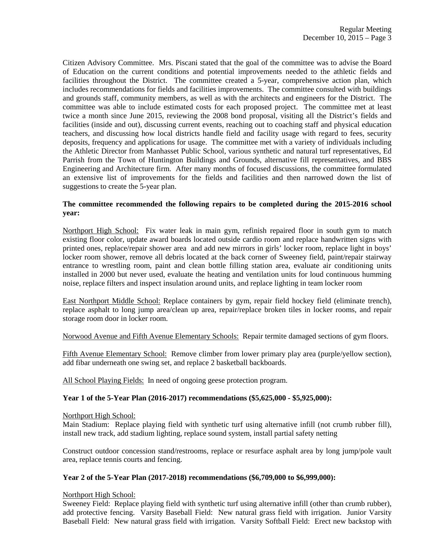Citizen Advisory Committee. Mrs. Piscani stated that the goal of the committee was to advise the Board of Education on the current conditions and potential improvements needed to the athletic fields and facilities throughout the District. The committee created a 5-year, comprehensive action plan, which includes recommendations for fields and facilities improvements. The committee consulted with buildings and grounds staff, community members, as well as with the architects and engineers for the District. The committee was able to include estimated costs for each proposed project. The committee met at least twice a month since June 2015, reviewing the 2008 bond proposal, visiting all the District's fields and facilities (inside and out), discussing current events, reaching out to coaching staff and physical education teachers, and discussing how local districts handle field and facility usage with regard to fees, security deposits, frequency and applications for usage. The committee met with a variety of individuals including the Athletic Director from Manhasset Public School, various synthetic and natural turf representatives, Ed Parrish from the Town of Huntington Buildings and Grounds, alternative fill representatives, and BBS Engineering and Architecture firm. After many months of focused discussions, the committee formulated an extensive list of improvements for the fields and facilities and then narrowed down the list of suggestions to create the 5-year plan.

#### **The committee recommended the following repairs to be completed during the 2015-2016 school year:**

Northport High School: Fix water leak in main gym, refinish repaired floor in south gym to match existing floor color, update award boards located outside cardio room and replace handwritten signs with printed ones, replace/repair shower area and add new mirrors in girls' locker room, replace light in boys' locker room shower, remove all debris located at the back corner of Sweeney field, paint/repair stairway entrance to wrestling room, paint and clean bottle filling station area, evaluate air conditioning units installed in 2000 but never used, evaluate the heating and ventilation units for loud continuous humming noise, replace filters and inspect insulation around units, and replace lighting in team locker room

East Northport Middle School: Replace containers by gym, repair field hockey field (eliminate trench), replace asphalt to long jump area/clean up area, repair/replace broken tiles in locker rooms, and repair storage room door in locker room.

Norwood Avenue and Fifth Avenue Elementary Schools: Repair termite damaged sections of gym floors.

Fifth Avenue Elementary School: Remove climber from lower primary play area (purple/yellow section), add fibar underneath one swing set, and replace 2 basketball backboards.

All School Playing Fields: In need of ongoing geese protection program.

## **Year 1 of the 5-Year Plan (2016-2017) recommendations (\$5,625,000 - \$5,925,000):**

## Northport High School:

Main Stadium: Replace playing field with synthetic turf using alternative infill (not crumb rubber fill), install new track, add stadium lighting, replace sound system, install partial safety netting

Construct outdoor concession stand/restrooms, replace or resurface asphalt area by long jump/pole vault area, replace tennis courts and fencing.

## **Year 2 of the 5-Year Plan (2017-2018) recommendations (\$6,709,000 to \$6,999,000):**

#### Northport High School:

Sweeney Field: Replace playing field with synthetic turf using alternative infill (other than crumb rubber), add protective fencing. Varsity Baseball Field: New natural grass field with irrigation. Junior Varsity Baseball Field: New natural grass field with irrigation. Varsity Softball Field: Erect new backstop with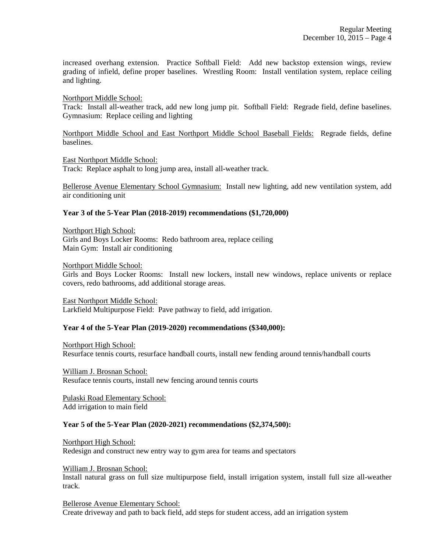increased overhang extension. Practice Softball Field: Add new backstop extension wings, review grading of infield, define proper baselines. Wrestling Room: Install ventilation system, replace ceiling and lighting.

#### Northport Middle School:

Track: Install all-weather track, add new long jump pit. Softball Field: Regrade field, define baselines. Gymnasium: Replace ceiling and lighting

Northport Middle School and East Northport Middle School Baseball Fields: Regrade fields, define baselines.

#### East Northport Middle School:

Track: Replace asphalt to long jump area, install all-weather track.

Bellerose Avenue Elementary School Gymnasium: Install new lighting, add new ventilation system, add air conditioning unit

## **Year 3 of the 5-Year Plan (2018-2019) recommendations (\$1,720,000)**

Northport High School: Girls and Boys Locker Rooms: Redo bathroom area, replace ceiling Main Gym: Install air conditioning

Northport Middle School:

Girls and Boys Locker Rooms: Install new lockers, install new windows, replace univents or replace covers, redo bathrooms, add additional storage areas.

East Northport Middle School: Larkfield Multipurpose Field: Pave pathway to field, add irrigation.

## **Year 4 of the 5-Year Plan (2019-2020) recommendations (\$340,000):**

Northport High School: Resurface tennis courts, resurface handball courts, install new fending around tennis/handball courts

William J. Brosnan School: Resuface tennis courts, install new fencing around tennis courts

Pulaski Road Elementary School: Add irrigation to main field

#### **Year 5 of the 5-Year Plan (2020-2021) recommendations (\$2,374,500):**

Northport High School: Redesign and construct new entry way to gym area for teams and spectators

#### William J. Brosnan School:

Install natural grass on full size multipurpose field, install irrigation system, install full size all-weather track.

Bellerose Avenue Elementary School: Create driveway and path to back field, add steps for student access, add an irrigation system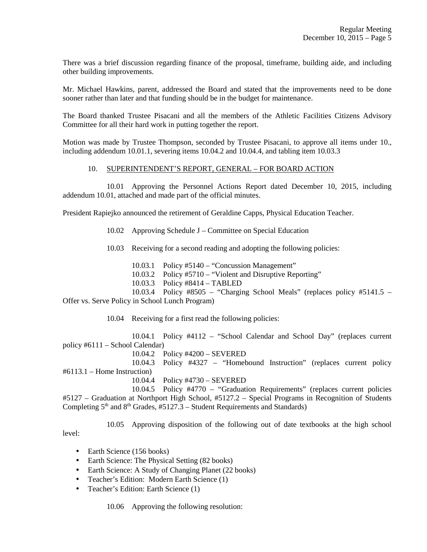There was a brief discussion regarding finance of the proposal, timeframe, building aide, and including other building improvements.

Mr. Michael Hawkins, parent, addressed the Board and stated that the improvements need to be done sooner rather than later and that funding should be in the budget for maintenance.

The Board thanked Trustee Pisacani and all the members of the Athletic Facilities Citizens Advisory Committee for all their hard work in putting together the report.

Motion was made by Trustee Thompson, seconded by Trustee Pisacani, to approve all items under 10., including addendum 10.01.1, severing items 10.04.2 and 10.04.4, and tabling item 10.03.3

## 10. SUPERINTENDENT'S REPORT, GENERAL – FOR BOARD ACTION

 10.01 Approving the Personnel Actions Report dated December 10, 2015, including addendum 10.01, attached and made part of the official minutes.

President Rapiejko announced the retirement of Geraldine Capps, Physical Education Teacher.

10.02 Approving Schedule J – Committee on Special Education

10.03 Receiving for a second reading and adopting the following policies:

10.03.1 Policy #5140 – "Concussion Management"

10.03.2 Policy #5710 – "Violent and Disruptive Reporting"

10.03.3 Policy #8414 – TABLED

 10.03.4 Policy #8505 – "Charging School Meals" (replaces policy #5141.5 – Offer vs. Serve Policy in School Lunch Program)

10.04 Receiving for a first read the following policies:

 10.04.1 Policy #4112 – "School Calendar and School Day" (replaces current policy #6111 – School Calendar)

10.04.2 Policy #4200 – SEVERED

 10.04.3 Policy #4327 – "Homebound Instruction" (replaces current policy #6113.1 – Home Instruction)

10.04.4 Policy #4730 – SEVERED

 10.04.5 Policy #4770 – "Graduation Requirements" (replaces current policies #5127 – Graduation at Northport High School, #5127.2 – Special Programs in Recognition of Students Completing  $5<sup>th</sup>$  and  $8<sup>th</sup>$  Grades, #5127.3 – Student Requirements and Standards)

10.05 Approving disposition of the following out of date textbooks at the high school

level:

- Earth Science (156 books)
- Earth Science: The Physical Setting (82 books)
- Earth Science: A Study of Changing Planet (22 books)
- Teacher's Edition: Modern Earth Science (1)
- Teacher's Edition: Earth Science (1)

10.06 Approving the following resolution: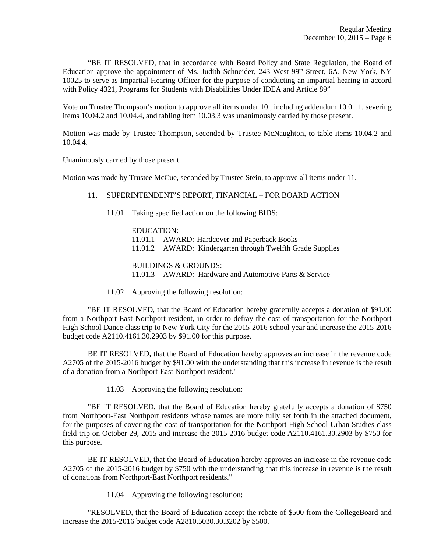"BE IT RESOLVED, that in accordance with Board Policy and State Regulation, the Board of Education approve the appointment of Ms. Judith Schneider, 243 West 99<sup>th</sup> Street, 6A, New York, NY 10025 to serve as Impartial Hearing Officer for the purpose of conducting an impartial hearing in accord with Policy 4321, Programs for Students with Disabilities Under IDEA and Article 89"

Vote on Trustee Thompson's motion to approve all items under 10., including addendum 10.01.1, severing items 10.04.2 and 10.04.4, and tabling item 10.03.3 was unanimously carried by those present.

Motion was made by Trustee Thompson, seconded by Trustee McNaughton, to table items 10.04.2 and 10.04.4.

Unanimously carried by those present.

Motion was made by Trustee McCue, seconded by Trustee Stein, to approve all items under 11.

#### 11. SUPERINTENDENT'S REPORT, FINANCIAL – FOR BOARD ACTION

11.01 Taking specified action on the following BIDS:

 EDUCATION: 11.01.1 AWARD: Hardcover and Paperback Books 11.01.2 AWARD: Kindergarten through Twelfth Grade Supplies

 BUILDINGS & GROUNDS: 11.01.3 AWARD: Hardware and Automotive Parts & Service

11.02 Approving the following resolution:

 "BE IT RESOLVED, that the Board of Education hereby gratefully accepts a donation of \$91.00 from a Northport-East Northport resident, in order to defray the cost of transportation for the Northport High School Dance class trip to New York City for the 2015-2016 school year and increase the 2015-2016 budget code A2110.4161.30.2903 by \$91.00 for this purpose.

 BE IT RESOLVED, that the Board of Education hereby approves an increase in the revenue code A2705 of the 2015-2016 budget by \$91.00 with the understanding that this increase in revenue is the result of a donation from a Northport-East Northport resident."

11.03 Approving the following resolution:

 "BE IT RESOLVED, that the Board of Education hereby gratefully accepts a donation of \$750 from Northport-East Northport residents whose names are more fully set forth in the attached document, for the purposes of covering the cost of transportation for the Northport High School Urban Studies class field trip on October 29, 2015 and increase the 2015-2016 budget code A2110.4161.30.2903 by \$750 for this purpose.

 BE IT RESOLVED, that the Board of Education hereby approves an increase in the revenue code A2705 of the 2015-2016 budget by \$750 with the understanding that this increase in revenue is the result of donations from Northport-East Northport residents."

11.04 Approving the following resolution:

 "RESOLVED, that the Board of Education accept the rebate of \$500 from the CollegeBoard and increase the 2015-2016 budget code A2810.5030.30.3202 by \$500.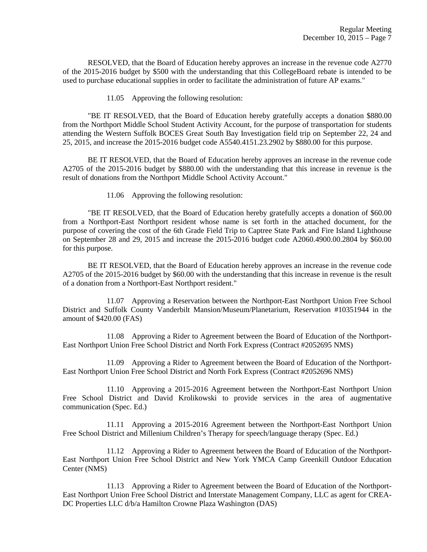RESOLVED, that the Board of Education hereby approves an increase in the revenue code A2770 of the 2015-2016 budget by \$500 with the understanding that this CollegeBoard rebate is intended to be used to purchase educational supplies in order to facilitate the administration of future AP exams."

11.05 Approving the following resolution:

 "BE IT RESOLVED, that the Board of Education hereby gratefully accepts a donation \$880.00 from the Northport Middle School Student Activity Account, for the purpose of transportation for students attending the Western Suffolk BOCES Great South Bay Investigation field trip on September 22, 24 and 25, 2015, and increase the 2015-2016 budget code A5540.4151.23.2902 by \$880.00 for this purpose.

 BE IT RESOLVED, that the Board of Education hereby approves an increase in the revenue code A2705 of the 2015-2016 budget by \$880.00 with the understanding that this increase in revenue is the result of donations from the Northport Middle School Activity Account."

11.06 Approving the following resolution:

 "BE IT RESOLVED, that the Board of Education hereby gratefully accepts a donation of \$60.00 from a Northport-East Northport resident whose name is set forth in the attached document, for the purpose of covering the cost of the 6th Grade Field Trip to Captree State Park and Fire Island Lighthouse on September 28 and 29, 2015 and increase the 2015-2016 budget code A2060.4900.00.2804 by \$60.00 for this purpose.

 BE IT RESOLVED, that the Board of Education hereby approves an increase in the revenue code A2705 of the 2015-2016 budget by \$60.00 with the understanding that this increase in revenue is the result of a donation from a Northport-East Northport resident."

 11.07 Approving a Reservation between the Northport-East Northport Union Free School District and Suffolk County Vanderbilt Mansion/Museum/Planetarium, Reservation #10351944 in the amount of \$420.00 (FAS)

 11.08 Approving a Rider to Agreement between the Board of Education of the Northport-East Northport Union Free School District and North Fork Express (Contract #2052695 NMS)

 11.09 Approving a Rider to Agreement between the Board of Education of the Northport-East Northport Union Free School District and North Fork Express (Contract #2052696 NMS)

 11.10 Approving a 2015-2016 Agreement between the Northport-East Northport Union Free School District and David Krolikowski to provide services in the area of augmentative communication (Spec. Ed.)

 11.11 Approving a 2015-2016 Agreement between the Northport-East Northport Union Free School District and Millenium Children's Therapy for speech/language therapy (Spec. Ed.)

 11.12 Approving a Rider to Agreement between the Board of Education of the Northport-East Northport Union Free School District and New York YMCA Camp Greenkill Outdoor Education Center (NMS)

 11.13 Approving a Rider to Agreement between the Board of Education of the Northport-East Northport Union Free School District and Interstate Management Company, LLC as agent for CREA-DC Properties LLC d/b/a Hamilton Crowne Plaza Washington (DAS)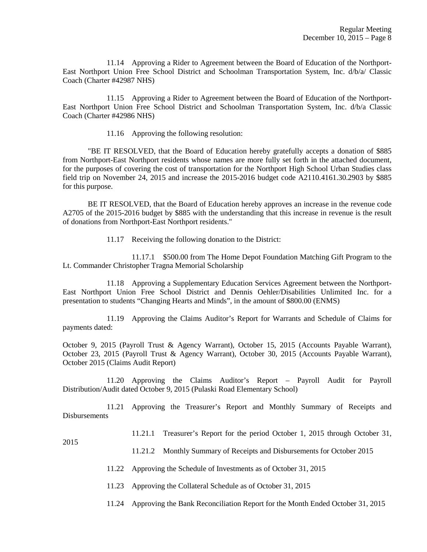11.14 Approving a Rider to Agreement between the Board of Education of the Northport-East Northport Union Free School District and Schoolman Transportation System, Inc. d/b/a/ Classic Coach (Charter #42987 NHS)

 11.15 Approving a Rider to Agreement between the Board of Education of the Northport-East Northport Union Free School District and Schoolman Transportation System, Inc. d/b/a Classic Coach (Charter #42986 NHS)

11.16 Approving the following resolution:

 "BE IT RESOLVED, that the Board of Education hereby gratefully accepts a donation of \$885 from Northport-East Northport residents whose names are more fully set forth in the attached document, for the purposes of covering the cost of transportation for the Northport High School Urban Studies class field trip on November 24, 2015 and increase the 2015-2016 budget code A2110.4161.30.2903 by \$885 for this purpose.

 BE IT RESOLVED, that the Board of Education hereby approves an increase in the revenue code A2705 of the 2015-2016 budget by \$885 with the understanding that this increase in revenue is the result of donations from Northport-East Northport residents."

11.17 Receiving the following donation to the District:

 11.17.1 \$500.00 from The Home Depot Foundation Matching Gift Program to the Lt. Commander Christopher Tragna Memorial Scholarship

 11.18 Approving a Supplementary Education Services Agreement between the Northport-East Northport Union Free School District and Dennis Oehler/Disabilities Unlimited Inc. for a presentation to students "Changing Hearts and Minds", in the amount of \$800.00 (ENMS)

 11.19 Approving the Claims Auditor's Report for Warrants and Schedule of Claims for payments dated:

October 9, 2015 (Payroll Trust & Agency Warrant), October 15, 2015 (Accounts Payable Warrant), October 23, 2015 (Payroll Trust & Agency Warrant), October 30, 2015 (Accounts Payable Warrant), October 2015 (Claims Audit Report)

 11.20 Approving the Claims Auditor's Report – Payroll Audit for Payroll Distribution/Audit dated October 9, 2015 (Pulaski Road Elementary School)

 11.21 Approving the Treasurer's Report and Monthly Summary of Receipts and **Disbursements** 

11.21.1 Treasurer's Report for the period October 1, 2015 through October 31,

2015

- 11.21.2 Monthly Summary of Receipts and Disbursements for October 2015
- 11.22 Approving the Schedule of Investments as of October 31, 2015
- 11.23 Approving the Collateral Schedule as of October 31, 2015

11.24 Approving the Bank Reconciliation Report for the Month Ended October 31, 2015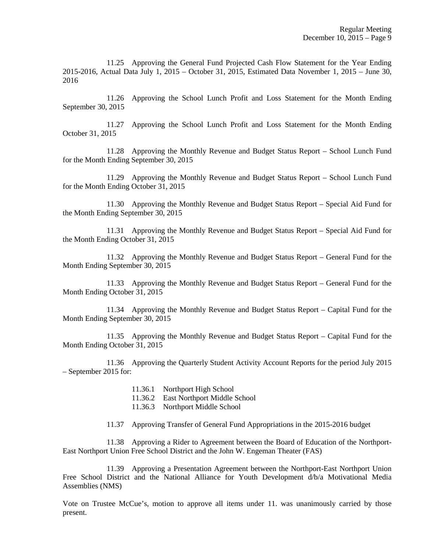11.25 Approving the General Fund Projected Cash Flow Statement for the Year Ending 2015-2016, Actual Data July 1, 2015 – October 31, 2015, Estimated Data November 1, 2015 – June 30, 2016

 11.26 Approving the School Lunch Profit and Loss Statement for the Month Ending September 30, 2015

 11.27 Approving the School Lunch Profit and Loss Statement for the Month Ending October 31, 2015

 11.28 Approving the Monthly Revenue and Budget Status Report – School Lunch Fund for the Month Ending September 30, 2015

 11.29 Approving the Monthly Revenue and Budget Status Report – School Lunch Fund for the Month Ending October 31, 2015

 11.30 Approving the Monthly Revenue and Budget Status Report – Special Aid Fund for the Month Ending September 30, 2015

 11.31 Approving the Monthly Revenue and Budget Status Report – Special Aid Fund for the Month Ending October 31, 2015

 11.32 Approving the Monthly Revenue and Budget Status Report – General Fund for the Month Ending September 30, 2015

 11.33 Approving the Monthly Revenue and Budget Status Report – General Fund for the Month Ending October 31, 2015

 11.34 Approving the Monthly Revenue and Budget Status Report – Capital Fund for the Month Ending September 30, 2015

 11.35 Approving the Monthly Revenue and Budget Status Report – Capital Fund for the Month Ending October 31, 2015

 11.36 Approving the Quarterly Student Activity Account Reports for the period July 2015 – September 2015 for:

- 11.36.1 Northport High School
- 11.36.2 East Northport Middle School
- 11.36.3 Northport Middle School
- 11.37 Approving Transfer of General Fund Appropriations in the 2015-2016 budget

 11.38 Approving a Rider to Agreement between the Board of Education of the Northport-East Northport Union Free School District and the John W. Engeman Theater (FAS)

 11.39 Approving a Presentation Agreement between the Northport-East Northport Union Free School District and the National Alliance for Youth Development d/b/a Motivational Media Assemblies (NMS)

Vote on Trustee McCue's, motion to approve all items under 11. was unanimously carried by those present.